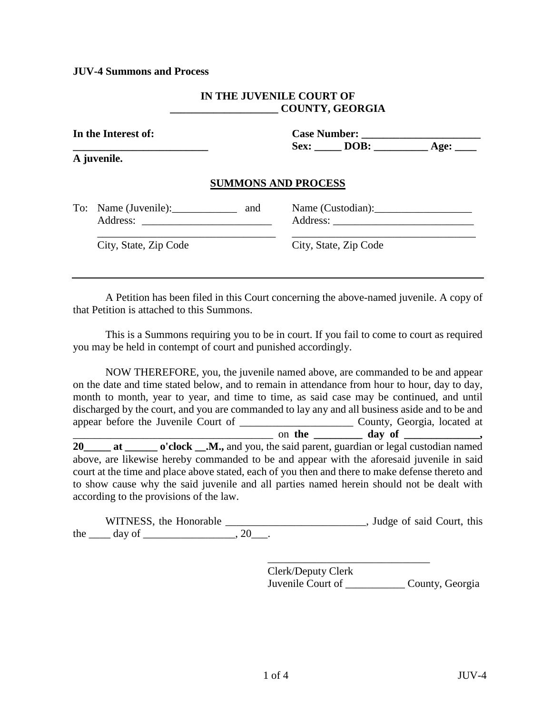#### **JUV-4 Summons and Process**

#### **IN THE JUVENILE COURT OF \_\_\_\_\_\_\_\_\_\_\_\_\_\_\_\_\_\_\_\_ COUNTY, GEORGIA**

| In the Interest of:<br>A juvenile. |                                          | $Sex:$ DOB: $Age:$         |  |                       |  |
|------------------------------------|------------------------------------------|----------------------------|--|-----------------------|--|
|                                    |                                          |                            |  |                       |  |
|                                    |                                          | <b>SUMMONS AND PROCESS</b> |  |                       |  |
|                                    | To: Name (Juvenile): _______________ and |                            |  | Name (Custodian):     |  |
|                                    | City, State, Zip Code                    |                            |  | City, State, Zip Code |  |
|                                    |                                          |                            |  |                       |  |

A Petition has been filed in this Court concerning the above-named juvenile. A copy of that Petition is attached to this Summons.

This is a Summons requiring you to be in court. If you fail to come to court as required you may be held in contempt of court and punished accordingly.

NOW THEREFORE, you, the juvenile named above, are commanded to be and appear on the date and time stated below, and to remain in attendance from hour to hour, day to day, month to month, year to year, and time to time, as said case may be continued, and until discharged by the court, and you are commanded to lay any and all business aside and to be and appear before the Juvenile Court of \_\_\_\_\_\_\_\_\_\_\_\_\_\_\_\_\_\_\_\_\_ County, Georgia, located at  $\overline{\phantom{a}}$  on the  $\overline{\phantom{a}}$  day of  $\overline{\phantom{a}}$ 20\_\_\_\_\_ at \_\_\_\_\_\_ o'clock \_\_.M., and you, the said parent, guardian or legal custodian named above, are likewise hereby commanded to be and appear with the aforesaid juvenile in said court at the time and place above stated, each of you then and there to make defense thereto and

to show cause why the said juvenile and all parties named herein should not be dealt with according to the provisions of the law.

WITNESS, the Honorable \_\_\_\_\_\_\_\_\_\_\_\_\_\_\_\_\_\_\_\_\_\_\_\_\_\_, Judge of said Court, this the  $\rule{1em}{0.15mm}$  day of  $\rule{1em}{0.15mm}$   $\qquad$   $\qquad$   $\qquad$   $\qquad$   $\qquad$   $\qquad$   $\qquad$   $\qquad$   $\qquad$   $\qquad$   $\qquad$   $\qquad$   $\qquad$   $\qquad$   $\qquad$   $\qquad$   $\qquad$   $\qquad$   $\qquad$   $\qquad$   $\qquad$   $\qquad$   $\qquad$   $\qquad$   $\qquad$   $\qquad$   $\qquad$   $\qquad$   $\qquad$   $\qquad$ 

> Clerk/Deputy Clerk Juvenile Court of \_\_\_\_\_\_\_\_\_\_\_ County, Georgia

\_\_\_\_\_\_\_\_\_\_\_\_\_\_\_\_\_\_\_\_\_\_\_\_\_\_\_\_\_\_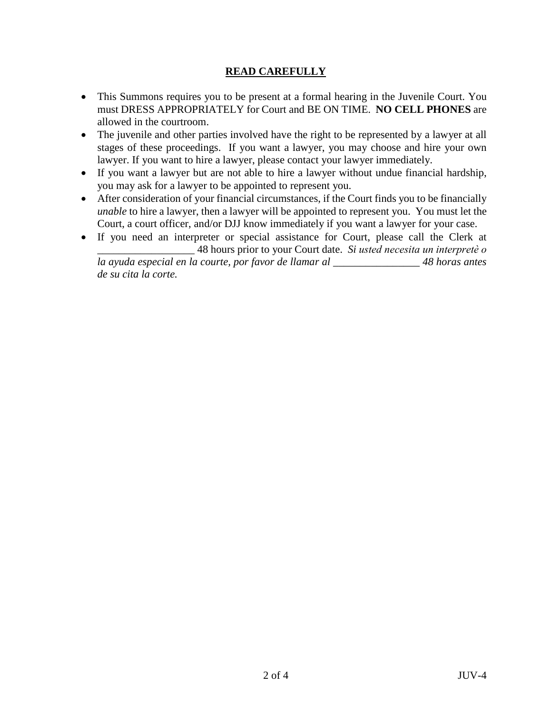# **READ CAREFULLY**

- This Summons requires you to be present at a formal hearing in the Juvenile Court. You must DRESS APPROPRIATELY for Court and BE ON TIME. **NO CELL PHONES** are allowed in the courtroom.
- The juvenile and other parties involved have the right to be represented by a lawyer at all stages of these proceedings. If you want a lawyer, you may choose and hire your own lawyer. If you want to hire a lawyer, please contact your lawyer immediately.
- If you want a lawyer but are not able to hire a lawyer without undue financial hardship, you may ask for a lawyer to be appointed to represent you.
- After consideration of your financial circumstances, if the Court finds you to be financially *unable* to hire a lawyer, then a lawyer will be appointed to represent you. You must let the Court, a court officer, and/or DJJ know immediately if you want a lawyer for your case.
- If you need an interpreter or special assistance for Court, please call the Clerk at \_\_\_\_\_\_\_\_\_\_\_\_\_\_\_\_\_\_ 48 hours prior to your Court date. *Si usted necesita un interpretѐ o*

*la ayuda especial en la courte, por favor de llamar al \_\_\_\_\_\_\_\_\_\_\_\_\_\_\_\_ 48 horas antes de su cita la corte.*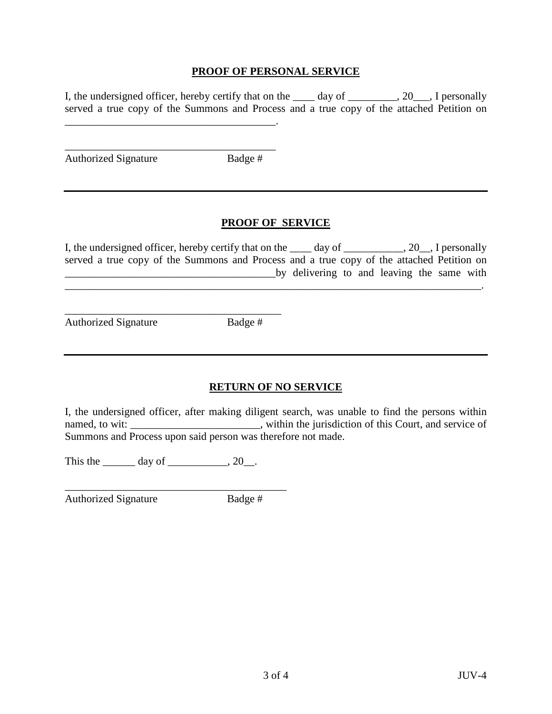#### **PROOF OF PERSONAL SERVICE**

I, the undersigned officer, hereby certify that on the  $\_\_\_\_\_\_\_\_\_\_$  day of  $\_\_\_\_\_\_$ . I personally served a true copy of the Summons and Process and a true copy of the attached Petition on

Authorized Signature Badge #

\_\_\_\_\_\_\_\_\_\_\_\_\_\_\_\_\_\_\_\_\_\_\_\_\_\_\_\_\_\_\_\_\_\_\_\_\_\_\_.

\_\_\_\_\_\_\_\_\_\_\_\_\_\_\_\_\_\_\_\_\_\_\_\_\_\_\_\_\_\_\_\_\_\_\_\_\_\_\_

\_\_\_\_\_\_\_\_\_\_\_\_\_\_\_\_\_\_\_\_\_\_\_\_\_\_\_\_\_\_\_\_\_\_\_\_\_\_\_\_

## **PROOF OF SERVICE**

I, the undersigned officer, hereby certify that on the \_\_\_\_ day of \_\_\_\_\_\_\_\_\_, 20\_, I personally served a true copy of the Summons and Process and a true copy of the attached Petition on by delivering to and leaving the same with

\_\_\_\_\_\_\_\_\_\_\_\_\_\_\_\_\_\_\_\_\_\_\_\_\_\_\_\_\_\_\_\_\_\_\_\_\_\_\_\_\_\_\_\_\_\_\_\_\_\_\_\_\_\_\_\_\_\_\_\_\_\_\_\_\_\_\_\_\_\_\_\_\_\_\_\_\_.

Authorized Signature Badge #

## **RETURN OF NO SERVICE**

I, the undersigned officer, after making diligent search, was unable to find the persons within named, to wit: \_\_\_\_\_\_\_\_\_\_\_\_\_\_\_\_\_\_\_\_\_\_, within the jurisdiction of this Court, and service of Summons and Process upon said person was therefore not made.

This the  $\_\_\_\_\$  day of  $\_\_\_\_\_\$ , 20 $\_\_\_\$ .

\_\_\_\_\_\_\_\_\_\_\_\_\_\_\_\_\_\_\_\_\_\_\_\_\_\_\_\_\_\_\_\_\_\_\_\_\_\_\_\_\_ Authorized Signature Badge #